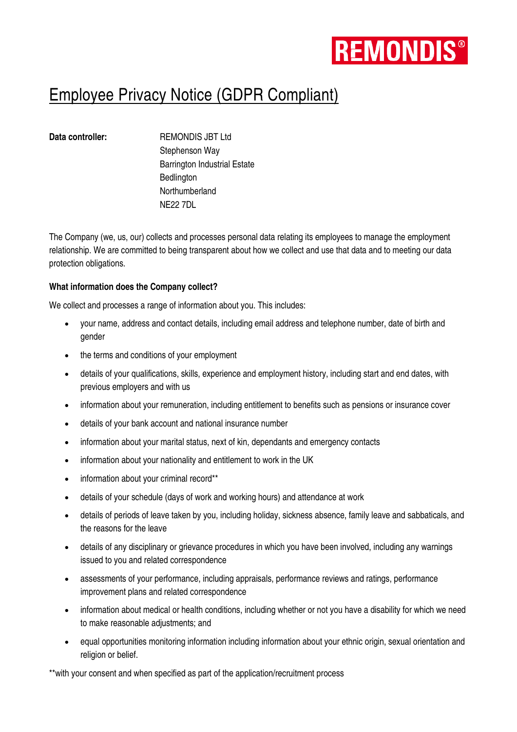

# Employee Privacy Notice (GDPR Compliant)

**Data controller:** REMONDIS JBT Ltd Stephenson Way Barrington Industrial Estate **Bedlington Northumberland** NE22 7DL

The Company (we, us, our) collects and processes personal data relating its employees to manage the employment relationship. We are committed to being transparent about how we collect and use that data and to meeting our data protection obligations.

# **What information does the Company collect?**

We collect and processes a range of information about you. This includes:

- your name, address and contact details, including email address and telephone number, date of birth and gender
- the terms and conditions of your employment
- details of your qualifications, skills, experience and employment history, including start and end dates, with previous employers and with us
- information about your remuneration, including entitlement to benefits such as pensions or insurance cover
- details of your bank account and national insurance number
- information about your marital status, next of kin, dependants and emergency contacts
- information about your nationality and entitlement to work in the UK
- information about your criminal record\*\*
- details of your schedule (days of work and working hours) and attendance at work
- details of periods of leave taken by you, including holiday, sickness absence, family leave and sabbaticals, and the reasons for the leave
- details of any disciplinary or grievance procedures in which you have been involved, including any warnings issued to you and related correspondence
- assessments of your performance, including appraisals, performance reviews and ratings, performance improvement plans and related correspondence
- information about medical or health conditions, including whether or not you have a disability for which we need to make reasonable adjustments; and
- equal opportunities monitoring information including information about your ethnic origin, sexual orientation and religion or belief.

\*\*with your consent and when specified as part of the application/recruitment process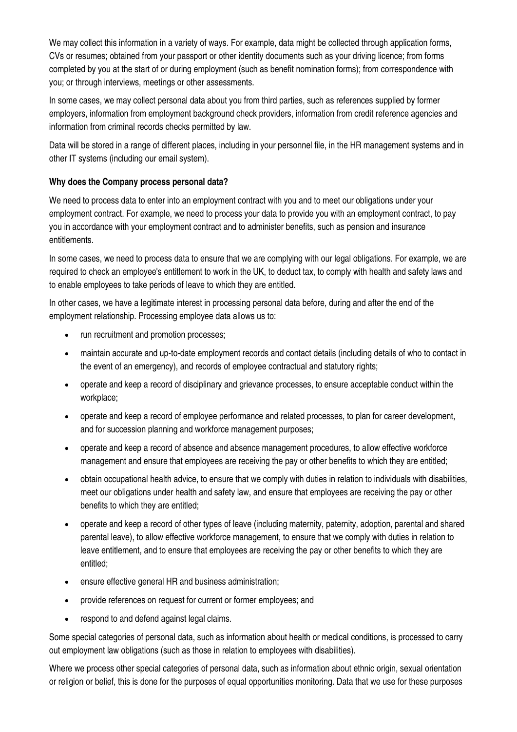We may collect this information in a variety of ways. For example, data might be collected through application forms, CVs or resumes; obtained from your passport or other identity documents such as your driving licence; from forms completed by you at the start of or during employment (such as benefit nomination forms); from correspondence with you; or through interviews, meetings or other assessments.

In some cases, we may collect personal data about you from third parties, such as references supplied by former employers, information from employment background check providers, information from credit reference agencies and information from criminal records checks permitted by law.

Data will be stored in a range of different places, including in your personnel file, in the HR management systems and in other IT systems (including our email system).

# **Why does the Company process personal data?**

We need to process data to enter into an employment contract with you and to meet our obligations under your employment contract. For example, we need to process your data to provide you with an employment contract, to pay you in accordance with your employment contract and to administer benefits, such as pension and insurance entitlements.

In some cases, we need to process data to ensure that we are complying with our legal obligations. For example, we are required to check an employee's entitlement to work in the UK, to deduct tax, to comply with health and safety laws and to enable employees to take periods of leave to which they are entitled.

In other cases, we have a legitimate interest in processing personal data before, during and after the end of the employment relationship. Processing employee data allows us to:

- run recruitment and promotion processes:
- maintain accurate and up-to-date employment records and contact details (including details of who to contact in the event of an emergency), and records of employee contractual and statutory rights;
- operate and keep a record of disciplinary and grievance processes, to ensure acceptable conduct within the workplace;
- operate and keep a record of employee performance and related processes, to plan for career development, and for succession planning and workforce management purposes;
- operate and keep a record of absence and absence management procedures, to allow effective workforce management and ensure that employees are receiving the pay or other benefits to which they are entitled;
- obtain occupational health advice, to ensure that we comply with duties in relation to individuals with disabilities, meet our obligations under health and safety law, and ensure that employees are receiving the pay or other benefits to which they are entitled;
- operate and keep a record of other types of leave (including maternity, paternity, adoption, parental and shared parental leave), to allow effective workforce management, to ensure that we comply with duties in relation to leave entitlement, and to ensure that employees are receiving the pay or other benefits to which they are entitled;
- ensure effective general HR and business administration;
- provide references on request for current or former employees; and
- respond to and defend against legal claims.

Some special categories of personal data, such as information about health or medical conditions, is processed to carry out employment law obligations (such as those in relation to employees with disabilities).

Where we process other special categories of personal data, such as information about ethnic origin, sexual orientation or religion or belief, this is done for the purposes of equal opportunities monitoring. Data that we use for these purposes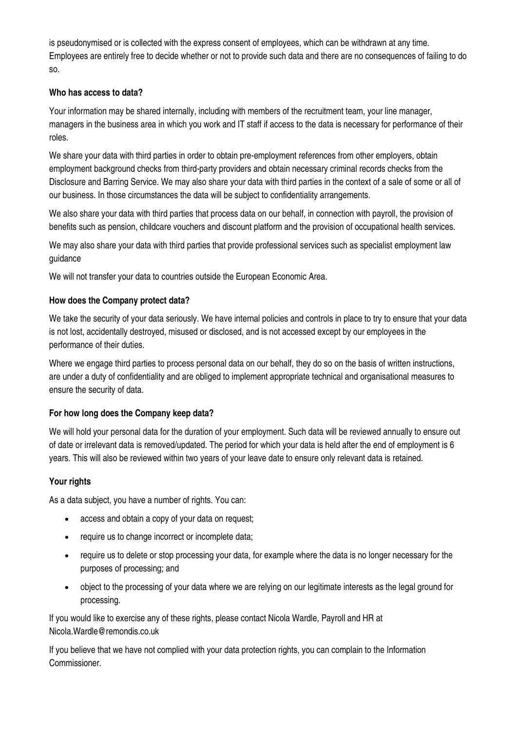is pseudonymised or is collected with the express consent of employees, which can be withdrawn at any time. Employees are entirely free to decide whether or not to provide such data and there are no consequences of failing to do so.

# **Who has access to data?**

Your information may be shared internally, including with members of the recruitment team, your line manager, managers in the business area in which you work and IT staff if access to the data is necessary for performance of their roles.

We share your data with third parties in order to obtain pre-employment references from other employers, obtain employment background checks from third-party providers and obtain necessary criminal records checks from the Disclosure and Barring Service. We may also share your data with third parties in the context of a sale of some or all of our business. In those circumstances the data will be subject to confidentiality arrangements.

We also share your data with third parties that process data on our behalf, in connection with payroll, the provision of benefits such as pension, childcare vouchers and discount platform and the provision of occupational health services.

We may also share your data with third parties that provide professional services such as specialist employment law guidance

We will not transfer your data to countries outside the European Economic Area.

# **How does the Company protect data?**

We take the security of your data seriously. We have internal policies and controls in place to try to ensure that your data is not lost, accidentally destroyed, misused or disclosed, and is not accessed except by our employees in the performance of their duties.

Where we engage third parties to process personal data on our behalf, they do so on the basis of written instructions, are under a duty of confidentiality and are obliged to implement appropriate technical and organisational measures to ensure the security of data.

# **For how long does the Company keep data?**

We will hold your personal data for the duration of your employment. Such data will be reviewed annually to ensure out of date or irrelevant data is removed/updated. The period for which your data is held after the end of employment is 6 years. This will also be reviewed within two years of your leave date to ensure only relevant data is retained.

# **Your rights**

As a data subiect, you have a number of rights. You can:

- access and obtain a copy of your data on request;
- require us to change incorrect or incomplete data;
- require us to delete or stop processing your data, for example where the data is no longer necessary for the purposes of processing; and
- object to the processing of your data where we are relying on our legitimate interests as the legal ground for processing.

If you would like to exercise any of these rights, please contact Nicola Wardle, Payroll and HR at Nicola.Wardle@remondis.co.uk

If you believe that we have not complied with your data protection rights, you can complain to the Information Commissioner.